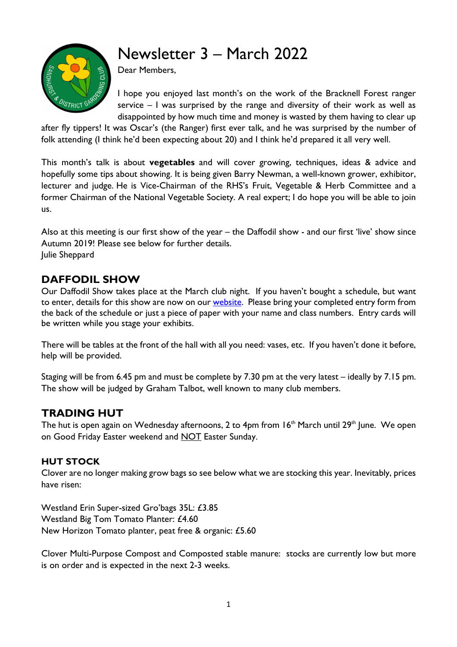# Newsletter 3 – March 2022



Dear Members,

I hope you enjoyed last month's on the work of the Bracknell Forest ranger service – I was surprised by the range and diversity of their work as well as disappointed by how much time and money is wasted by them having to clear up

after fly tippers! It was Oscar's (the Ranger) first ever talk, and he was surprised by the number of folk attending (I think he'd been expecting about 20) and I think he'd prepared it all very well.

This month's talk is about **vegetables** and will cover growing, techniques, ideas & advice and hopefully some tips about showing. It is being given Barry Newman, a well-known grower, exhibitor, lecturer and judge. He is Vice-Chairman of the RHS's Fruit, Vegetable & Herb Committee and a former Chairman of the National Vegetable Society. A real expert; I do hope you will be able to join us.

Also at this meeting is our first show of the year – the Daffodil show - and our first 'live' show since Autumn 2019! Please see below for further details. Julie Sheppard

# **DAFFODIL SHOW**

Our Daffodil Show takes place at the March club night. If you haven't bought a schedule, but want to enter, details for this show are now on our **website**. Please bring your completed entry form from the back of the schedule or just a piece of paper with your name and class numbers. Entry cards will be written while you stage your exhibits.

There will be tables at the front of the hall with all you need: vases, etc. If you haven't done it before, help will be provided.

Staging will be from 6.45 pm and must be complete by 7.30 pm at the very latest – ideally by 7.15 pm. The show will be judged by Graham Talbot, well known to many club members.

# **TRADING HUT**

The hut is open again on Wednesday afternoons, 2 to 4pm from  $16<sup>th</sup>$  March until 29<sup>th</sup> June. We open on Good Friday Easter weekend and NOT Easter Sunday.

#### **HUT STOCK**

Clover are no longer making grow bags so see below what we are stocking this year. Inevitably, prices have risen:

Westland Erin Super-sized Gro'bags 35L: £3.85 Westland Big Tom Tomato Planter: £4.60 New Horizon Tomato planter, peat free & organic: £5.60

Clover Multi-Purpose Compost and Composted stable manure: stocks are currently low but more is on order and is expected in the next 2-3 weeks.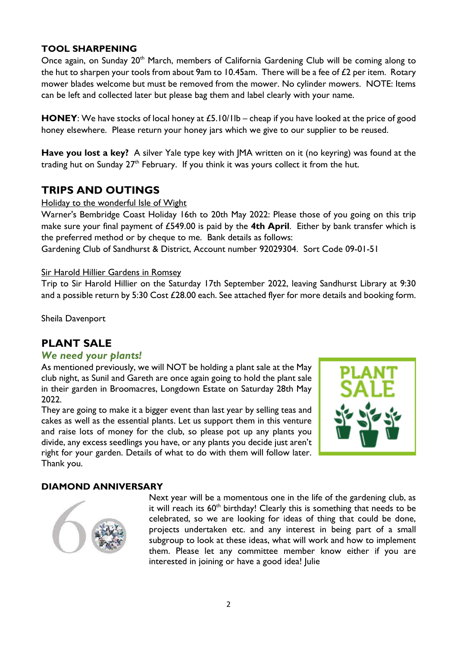#### **TOOL SHARPENING**

Once again, on Sunday 20<sup>th</sup> March, members of California Gardening Club will be coming along to the hut to sharpen your tools from about 9am to 10.45am. There will be a fee of  $£2$  per item. Rotary mower blades welcome but must be removed from the mower. No cylinder mowers. NOTE: Items can be left and collected later but please bag them and label clearly with your name.

**HONEY**: We have stocks of local honey at £5.10/1lb – cheap if you have looked at the price of good honey elsewhere. Please return your honey jars which we give to our supplier to be reused.

**Have you lost a key?** A silver Yale type key with JMA written on it (no keyring) was found at the trading hut on Sunday  $27<sup>th</sup>$  February. If you think it was yours collect it from the hut.

### **TRIPS AND OUTINGS**

Holiday to the wonderful Isle of Wight

Warner's Bembridge Coast Holiday 16th to 20th May 2022: Please those of you going on this trip make sure your final payment of £549.00 is paid by the **4th April**. Either by bank transfer which is the preferred method or by cheque to me. Bank details as follows:

Gardening Club of Sandhurst & District, Account number 92029304. Sort Code 09-01-51

#### Sir Harold Hillier Gardens in Romsey

Trip to Sir Harold Hillier on the Saturday 17th September 2022, leaving Sandhurst Library at 9:30 and a possible return by 5:30 Cost £28.00 each. See attached flyer for more details and booking form.

Sheila Davenport

# **PLANT SALE**

#### *We need your plants!*

As mentioned previously, we will NOT be holding a plant sale at the May club night, as Sunil and Gareth are once again going to hold the plant sale in their garden in Broomacres, Longdown Estate on Saturday 28th May 2022.

They are going to make it a bigger event than last year by selling teas and cakes as well as the essential plants. Let us support them in this venture and raise lots of money for the club, so please pot up any plants you divide, any excess seedlings you have, or any plants you decide just aren't right for your garden. Details of what to do with them will follow later. Thank you.



#### **DIAMOND ANNIVERSARY**



Next year will be a momentous one in the life of the gardening club, as it will reach its  $60<sup>th</sup>$  birthday! Clearly this is something that needs to be celebrated, so we are looking for ideas of thing that could be done, projects undertaken etc. and any interest in being part of a small subgroup to look at these ideas, what will work and how to implement them. Please let any committee member know either if you are interested in joining or have a good idea! Julie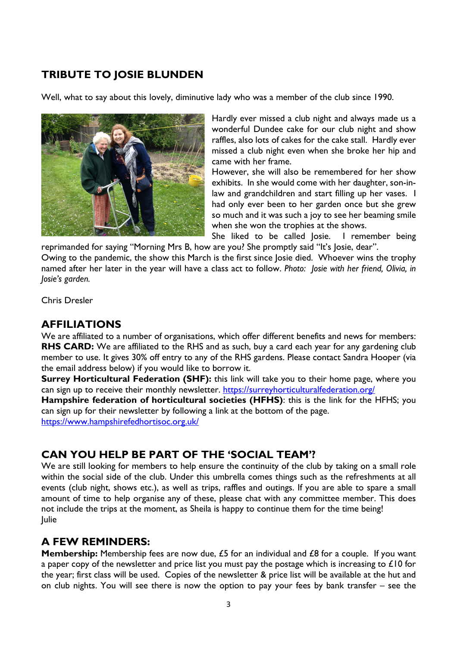# **TRIBUTE TO JOSIE BLUNDEN**

Well, what to say about this lovely, diminutive lady who was a member of the club since 1990.



Hardly ever missed a club night and always made us a wonderful Dundee cake for our club night and show raffles, also lots of cakes for the cake stall. Hardly ever missed a club night even when she broke her hip and came with her frame.

However, she will also be remembered for her show exhibits. In she would come with her daughter, son-inlaw and grandchildren and start filling up her vases. I had only ever been to her garden once but she grew so much and it was such a joy to see her beaming smile when she won the trophies at the shows.

She liked to be called Josie. I remember being reprimanded for saying "Morning Mrs B, how are you? She promptly said "It's Josie, dear".

Owing to the pandemic, the show this March is the first since Josie died. Whoever wins the trophy named after her later in the year will have a class act to follow. *Photo: Josie with her friend, Olivia, in Josie's garden.* 

Chris Dresler

## **AFFILIATIONS**

We are affiliated to a number of organisations, which offer different benefits and news for members: **RHS CARD:** We are affiliated to the RHS and as such, buy a card each year for any gardening club member to use. It gives 30% off entry to any of the RHS gardens. Please contact Sandra Hooper (via the email address below) if you would like to borrow it.

**Surrey Horticultural Federation (SHF):** this link will take you to their home page, where you can sign up to receive their monthly newsletter. https://surreyhorticulturalfederation.org/

**Hampshire federation of horticultural societies (HFHS)**: this is the link for the HFHS; you can sign up for their newsletter by following a link at the bottom of the page. https://www.hampshirefedhortisoc.org.uk/

# **CAN YOU HELP BE PART OF THE 'SOCIAL TEAM'?**

We are still looking for members to help ensure the continuity of the club by taking on a small role within the social side of the club. Under this umbrella comes things such as the refreshments at all events (club night, shows etc.), as well as trips, raffles and outings. If you are able to spare a small amount of time to help organise any of these, please chat with any committee member. This does not include the trips at the moment, as Sheila is happy to continue them for the time being! Julie

# **A FEW REMINDERS:**

**Membership:** Membership fees are now due, £5 for an individual and £8 for a couple. If you want a paper copy of the newsletter and price list you must pay the postage which is increasing to £10 for the year; first class will be used. Copies of the newsletter & price list will be available at the hut and on club nights. You will see there is now the option to pay your fees by bank transfer – see the